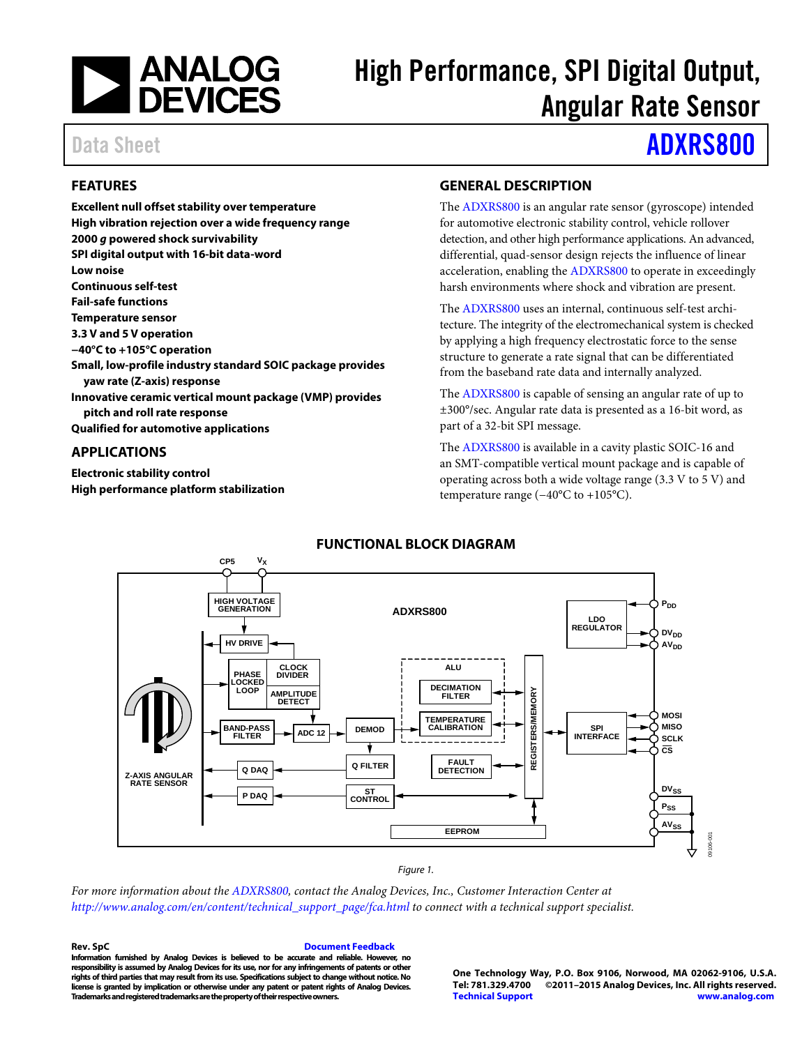

# High Performance, SPI Digital Output, Angular Rate Sensor

# Data Sheet **[ADXRS800](http://www.analog.com/ADXRS800?doc=ADXRS800.pdf)**

### **FEATURES**

**Excellent null offset stability over temperature High vibration rejection over a wide frequency range 2000** *g* **powered shock survivability SPI digital output with 16-bit data-word Low noise Continuous self-test Fail-safe functions Temperature sensor 3.3 V and 5 V operation −40°C to +105°C operation Small, low-profile industry standard SOIC package provides yaw rate (Z-axis) response Innovative ceramic vertical mount package (VMP) provides pitch and roll rate response Qualified for automotive applications**

#### **APPLICATIONS**

**Electronic stability control High performance platform stabilization**

#### **GENERAL DESCRIPTION**

The [ADXRS800](http://www.analog.com/ADXRS800?doc=ADXRS800.pdf) is an angular rate sensor (gyroscope) intended for automotive electronic stability control, vehicle rollover detection, and other high performance applications. An advanced, differential, quad-sensor design rejects the influence of linear acceleration, enabling the [ADXRS800](http://www.analog.com/ADXRS800?doc=ADXRS800.pdf) to operate in exceedingly harsh environments where shock and vibration are present.

The [ADXRS800](http://www.analog.com/ADXRS800?doc=ADXRS800.pdf) uses an internal, continuous self-test architecture. The integrity of the electromechanical system is checked by applying a high frequency electrostatic force to the sense structure to generate a rate signal that can be differentiated from the baseband rate data and internally analyzed.

The [ADXRS800](http://www.analog.com/ADXRS800?doc=ADXRS800.pdf) is capable of sensing an angular rate of up to ±300°/sec. Angular rate data is presented as a 16-bit word, as part of a 32-bit SPI message.

The [ADXRS800](http://www.analog.com/ADXRS800?doc=ADXRS800.pdf) is available in a cavity plastic SOIC-16 and an SMT-compatible vertical mount package and is capable of operating across both a wide voltage range (3.3 V to 5 V) and temperature range (−40°C to +105°C).



#### **FUNCTIONAL BLOCK DIAGRAM**

#### *Figure 1.*

*For more information about th[e ADXRS800,](http://www.analog.com/ADXRS800?doc=ADXRS800.pdf) contact the Analog Devices, Inc., Customer Interaction Center at [http://www.analog.com/en/content/technical\\_support\\_page/fca.html](http://www.analog.com/en/content/technical_support_page/fca.html?doc=adxrs800.pdf) to connect with a technical support specialist.*

**Rev. SpC [Document Feedback](https://form.analog.com/Form_Pages/feedback/documentfeedback.aspx?doc=ADXRS800.pdf&product=ADXRS800&rev=SpC) Information furnished by Analog Devices is believed to be accurate and reliable. However, no responsibility is assumed by Analog Devices for its use, nor for any infringements of patents or other rights of third parties that may result from its use. Specifications subject to change without notice. No license is granted by implication or otherwise under any patent or patent rights of Analog Devices. Trademarks and registered trademarks are the property of their respective owners.**